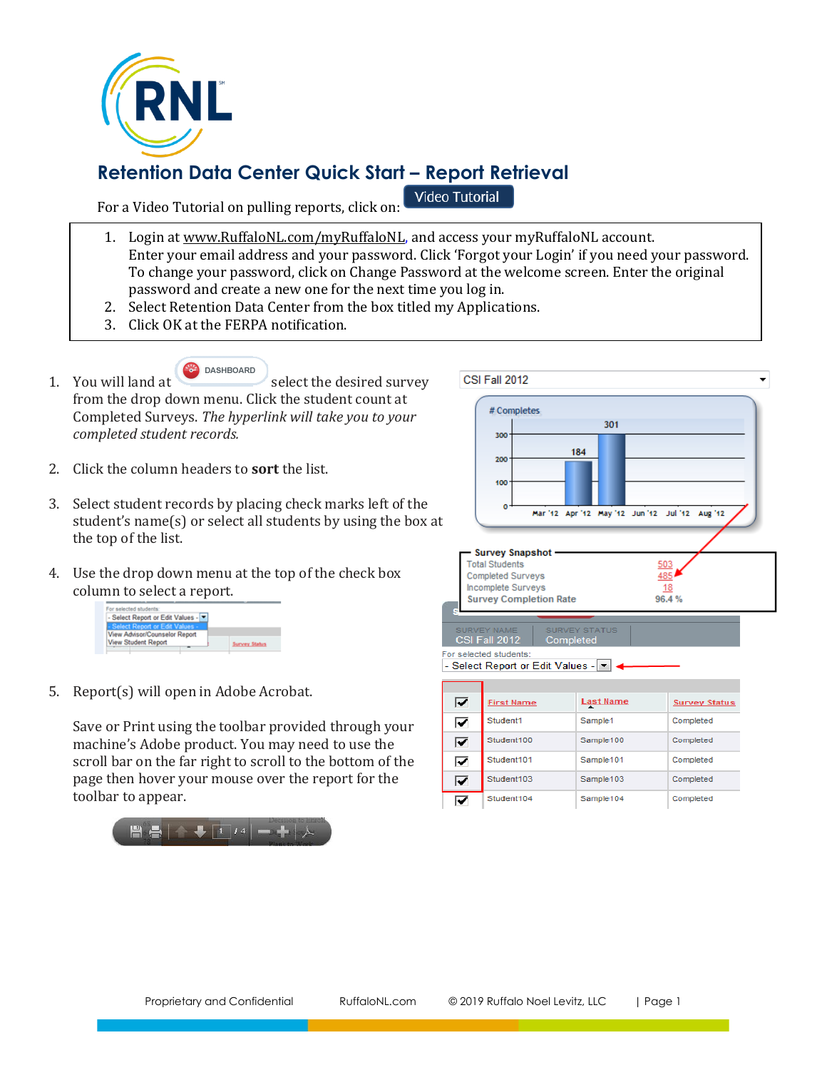

# **Retention Data Center Quick Start – Report Retrieval**

For a Video Tutorial on pulling reports, click on:

Video Tutorial

- 1. Login at www.RuffaloNL.com/myRuffaloNL, and access your myRuffaloNL account. Enter your email address and your password. Click 'Forgot your Login' if you need your password. To change your password, click on Change Password at the welcome screen. Enter the original password and create a new one for the next time you log in.
- 2. Select Retention Data Center from the box titled my Applications.
- 3. Click OK at the FERPA notification.
- **DASHBOARD** 1. You will land at select the desired survey from the drop down menu. Click the student count at Completed Surveys. *The hyperlink will take you to your completed student records.*
- 2. Click the column headers to **sort** the list.
- 3. Select student records by placing check marks left of the student's name(s) or select all students by using the box at the top of the list.
- 4. Use the drop down menu at the top of the check box column to select a report.



5. Report(s) will open in Adobe Acrobat.

Save or Print using the toolbar provided through your machine's Adobe product. You may need to use the scroll bar on the far right to scroll to the bottom of the page then hover your mouse over the report for the toolbar to appear.





| - Select Report or Edit Values - |  |  |  |
|----------------------------------|--|--|--|
|                                  |  |  |  |

| ☞ | <b>First Name</b> | <b>Last Name</b>      | <b>Survey Status</b> |
|---|-------------------|-----------------------|----------------------|
| ⊽ | Student1          | Sample1               | Completed            |
| ⊽ | Student100        | Sample100             | Completed            |
| 罓 | Student101        | Sample101             | Completed            |
| 罓 | Student103        | Sample <sub>103</sub> | Completed            |
| ⊽ | Student104        | Sample104             | Completed            |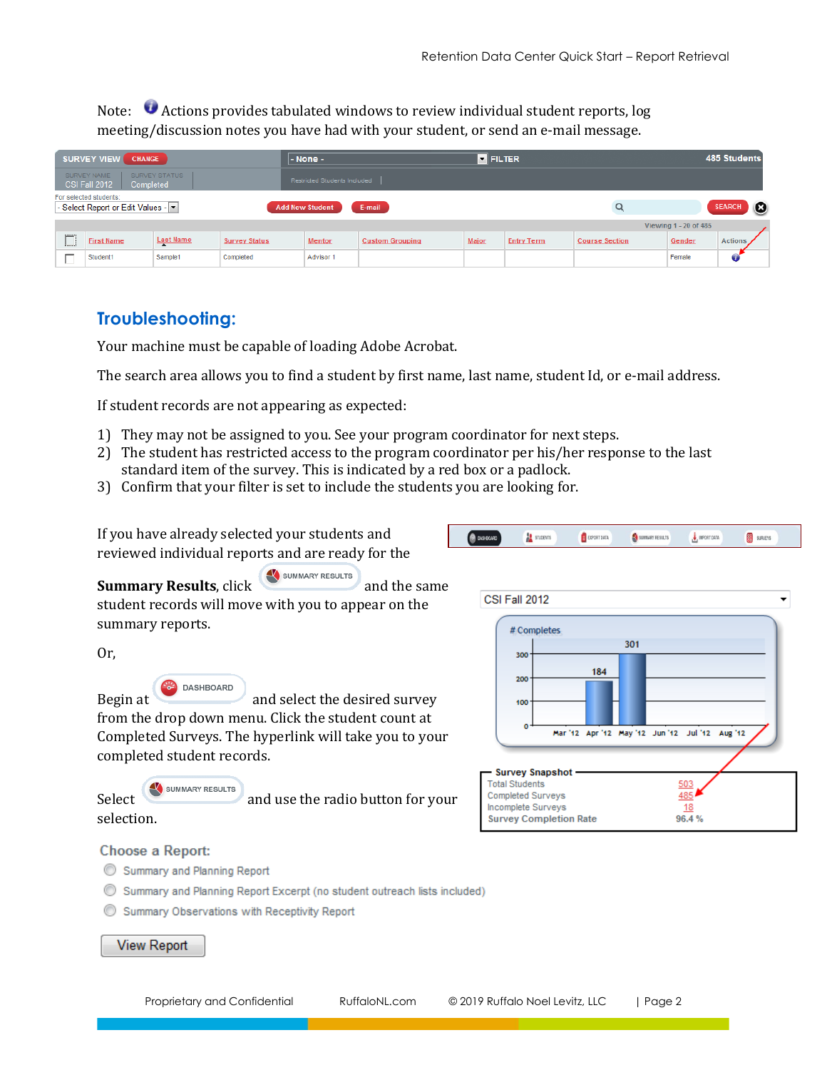Note: Actions provides tabulated windows to review individual student reports, log meeting/discussion notes you have had with your student, or send an e-mail message.

| <b>SURVEY VIEW</b><br><b>CHANGE</b>                                                                                |                   |                  | - None -             |                              | <b>E</b> FILTER        |              |                   |                       | 485 Students          |                |  |
|--------------------------------------------------------------------------------------------------------------------|-------------------|------------------|----------------------|------------------------------|------------------------|--------------|-------------------|-----------------------|-----------------------|----------------|--|
| SURVEY STATUS<br>SURVEY NAME<br>CSI Fall 2012<br>Completed                                                         |                   |                  |                      | Restricted Students Included |                        |              |                   |                       |                       |                |  |
| For selected students:<br>- Select Report or Edit Values - $\vert \cdot \vert$<br><b>Add New Student</b><br>E-mail |                   |                  |                      |                              | <b>SEARCH</b>          | $\bullet$    |                   |                       |                       |                |  |
|                                                                                                                    |                   |                  |                      |                              |                        |              |                   |                       | Viewing 1 - 20 of 485 |                |  |
| <br>≕                                                                                                              | <b>First Name</b> | <b>Last Name</b> | <b>Survey Status</b> | <b>Mentor</b>                | <b>Custom Grouping</b> | <b>Major</b> | <b>Entry Term</b> | <b>Course Section</b> | Gender                | <b>Actions</b> |  |
|                                                                                                                    | Student1          | Sample1          | Completed            | Advisor 1                    |                        |              |                   |                       | Female                |                |  |

# **Troubleshooting:**

Your machine must be capable of loading Adobe Acrobat.

The search area allows you to find a student by first name, last name, student Id, or e-mail address.

If student records are not appearing as expected:

- 1) They may not be assigned to you. See your program coordinator for next steps.
- 2) The student has restricted access to the program coordinator per his/her response to the last standard item of the survey. This is indicated by a red box or a padlock.
- 3) Confirm that your filter is set to include the students you are looking for.

If you have already selected your students and reviewed individual reports and are ready for the

**Summary Results**, click **and the same** and the same student records will move with you to appear on the summary reports.

Or,

## DASHBOARD

Begin at and select the desired survey from the drop down menu. Click the student count at Completed Surveys. The hyperlink will take you to your completed student records.

SUMMARY RESULTS Select and use the radio button for your selection.



SUMMARY RESULTS

MPORT DATA

**BE** surveys

EXPORT DATA

**STUDENTS** 

### **Choose a Report:**

- Summary and Planning Report
- Summary and Planning Report Excerpt (no student outreach lists included)
- Summary Observations with Receptivity Report

### **View Report**